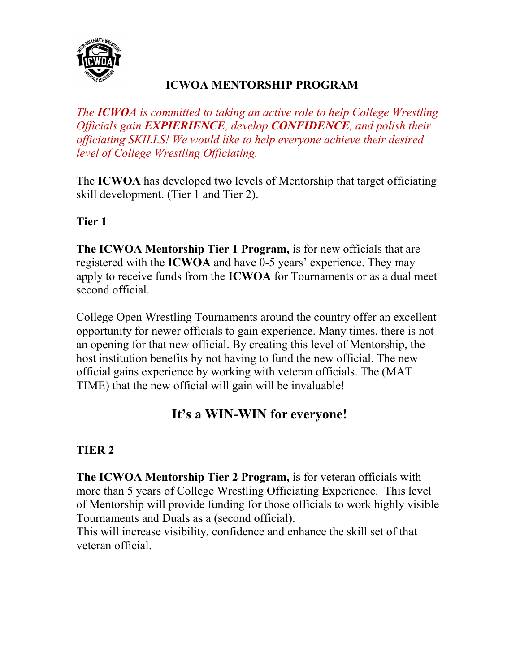

#### **ICWOA MENTORSHIP PROGRAM**

*The ICWOA is committed to taking an active role to help College Wrestling Officials gain EXPIERIENCE, develop CONFIDENCE, and polish their officiating SKILLS! We would like to help everyone achieve their desired level of College Wrestling Officiating.*

The **ICWOA** has developed two levels of Mentorship that target officiating skill development. (Tier 1 and Tier 2).

#### **Tier 1**

**The ICWOA Mentorship Tier 1 Program,** is for new officials that are registered with the **ICWOA** and have 0-5 years' experience. They may apply to receive funds from the **ICWOA** for Tournaments or as a dual meet second official.

College Open Wrestling Tournaments around the country offer an excellent opportunity for newer officials to gain experience. Many times, there is not an opening for that new official. By creating this level of Mentorship, the host institution benefits by not having to fund the new official. The new official gains experience by working with veteran officials. The (MAT TIME) that the new official will gain will be invaluable!

### **It's a WIN-WIN for everyone!**

#### **TIER 2**

**The ICWOA Mentorship Tier 2 Program,** is for veteran officials with more than 5 years of College Wrestling Officiating Experience. This level of Mentorship will provide funding for those officials to work highly visible Tournaments and Duals as a (second official).

This will increase visibility, confidence and enhance the skill set of that veteran official.